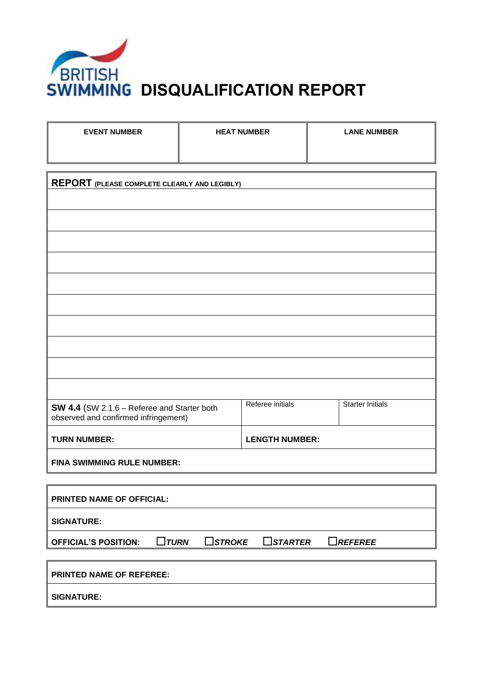

*BRITISH*<br>SWIMMING DISQUALIFICATION REPORT

| <b>EVENT NUMBER</b>                                                                                | <b>HEAT NUMBER</b> |                       | <b>LANE NUMBER</b>      |  |
|----------------------------------------------------------------------------------------------------|--------------------|-----------------------|-------------------------|--|
|                                                                                                    |                    |                       |                         |  |
| <b>REPORT</b> (PLEASE COMPLETE CLEARLY AND LEGIBLY)                                                |                    |                       |                         |  |
|                                                                                                    |                    |                       |                         |  |
|                                                                                                    |                    |                       |                         |  |
|                                                                                                    |                    |                       |                         |  |
|                                                                                                    |                    |                       |                         |  |
|                                                                                                    |                    |                       |                         |  |
|                                                                                                    |                    |                       |                         |  |
|                                                                                                    |                    |                       |                         |  |
|                                                                                                    |                    |                       |                         |  |
|                                                                                                    |                    |                       |                         |  |
|                                                                                                    |                    |                       |                         |  |
| SW 4.4 (SW 2.1.6 - Referee and Starter both<br>observed and confirmed infringement)                |                    | Referee initials      | <b>Starter Initials</b> |  |
| <b>TURN NUMBER:</b>                                                                                |                    | <b>LENGTH NUMBER:</b> |                         |  |
| <b>FINA SWIMMING RULE NUMBER:</b>                                                                  |                    |                       |                         |  |
|                                                                                                    |                    |                       |                         |  |
| PRINTED NAME OF OFFICIAL:                                                                          |                    |                       |                         |  |
| <b>SIGNATURE:</b>                                                                                  |                    |                       |                         |  |
| $\Box$ TURN<br>$\square$ STROKE<br>$\Box$ starter<br>$\Box$ REFEREE<br><b>OFFICIAL'S POSITION:</b> |                    |                       |                         |  |
| <b>PRINTED NAME OF REFEREE:</b>                                                                    |                    |                       |                         |  |
| <b>SIGNATURE:</b>                                                                                  |                    |                       |                         |  |